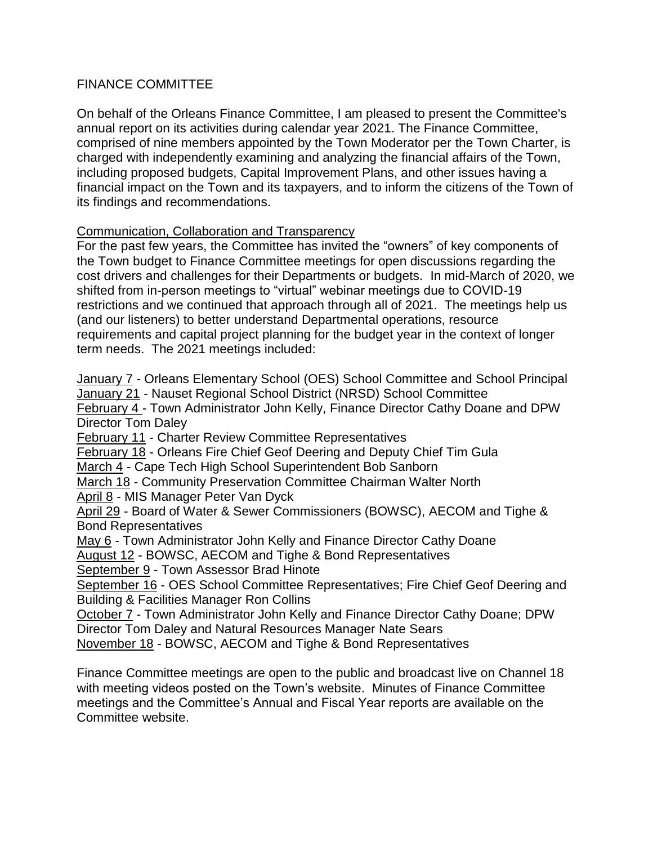# FINANCE COMMITTEE

On behalf of the Orleans Finance Committee, I am pleased to present the Committee's annual report on its activities during calendar year 2021. The Finance Committee, comprised of nine members appointed by the Town Moderator per the Town Charter, is charged with independently examining and analyzing the financial affairs of the Town, including proposed budgets, Capital Improvement Plans, and other issues having a financial impact on the Town and its taxpayers, and to inform the citizens of the Town of its findings and recommendations.

# Communication, Collaboration and Transparency

For the past few years, the Committee has invited the "owners" of key components of the Town budget to Finance Committee meetings for open discussions regarding the cost drivers and challenges for their Departments or budgets. In mid-March of 2020, we shifted from in-person meetings to "virtual" webinar meetings due to COVID-19 restrictions and we continued that approach through all of 2021. The meetings help us (and our listeners) to better understand Departmental operations, resource requirements and capital project planning for the budget year in the context of longer term needs. The 2021 meetings included:

January 7 - Orleans Elementary School (OES) School Committee and School Principal January 21 - Nauset Regional School District (NRSD) School Committee

February 4 - Town Administrator John Kelly, Finance Director Cathy Doane and DPW Director Tom Daley

February 11 - Charter Review Committee Representatives

February 18 - Orleans Fire Chief Geof Deering and Deputy Chief Tim Gula

March 4 - Cape Tech High School Superintendent Bob Sanborn

March 18 - Community Preservation Committee Chairman Walter North

April 8 - MIS Manager Peter Van Dyck

April 29 - Board of Water & Sewer Commissioners (BOWSC), AECOM and Tighe & Bond Representatives

May 6 - Town Administrator John Kelly and Finance Director Cathy Doane

August 12 - BOWSC, AECOM and Tighe & Bond Representatives

September 9 - Town Assessor Brad Hinote

September 16 - OES School Committee Representatives; Fire Chief Geof Deering and Building & Facilities Manager Ron Collins

October 7 - Town Administrator John Kelly and Finance Director Cathy Doane; DPW Director Tom Daley and Natural Resources Manager Nate Sears

November 18 - BOWSC, AECOM and Tighe & Bond Representatives

Finance Committee meetings are open to the public and broadcast live on Channel 18 with meeting videos posted on the Town's website. Minutes of Finance Committee meetings and the Committee's Annual and Fiscal Year reports are available on the Committee website.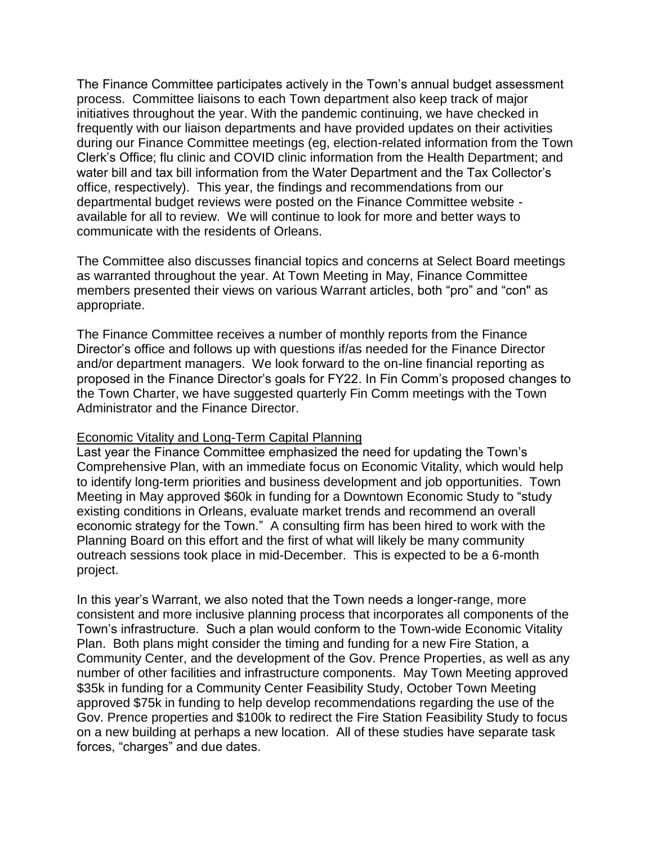The Finance Committee participates actively in the Town's annual budget assessment process. Committee liaisons to each Town department also keep track of major initiatives throughout the year. With the pandemic continuing, we have checked in frequently with our liaison departments and have provided updates on their activities during our Finance Committee meetings (eg, election-related information from the Town Clerk's Office; flu clinic and COVID clinic information from the Health Department; and water bill and tax bill information from the Water Department and the Tax Collector's office, respectively). This year, the findings and recommendations from our departmental budget reviews were posted on the Finance Committee website available for all to review. We will continue to look for more and better ways to communicate with the residents of Orleans.

The Committee also discusses financial topics and concerns at Select Board meetings as warranted throughout the year. At Town Meeting in May, Finance Committee members presented their views on various Warrant articles, both "pro" and "con" as appropriate.

The Finance Committee receives a number of monthly reports from the Finance Director's office and follows up with questions if/as needed for the Finance Director and/or department managers. We look forward to the on-line financial reporting as proposed in the Finance Director's goals for FY22. In Fin Comm's proposed changes to the Town Charter, we have suggested quarterly Fin Comm meetings with the Town Administrator and the Finance Director.

### Economic Vitality and Long-Term Capital Planning

Last year the Finance Committee emphasized the need for updating the Town's Comprehensive Plan, with an immediate focus on Economic Vitality, which would help to identify long-term priorities and business development and job opportunities. Town Meeting in May approved \$60k in funding for a Downtown Economic Study to "study existing conditions in Orleans, evaluate market trends and recommend an overall economic strategy for the Town." A consulting firm has been hired to work with the Planning Board on this effort and the first of what will likely be many community outreach sessions took place in mid-December. This is expected to be a 6-month project.

In this year's Warrant, we also noted that the Town needs a longer-range, more consistent and more inclusive planning process that incorporates all components of the Town's infrastructure. Such a plan would conform to the Town-wide Economic Vitality Plan. Both plans might consider the timing and funding for a new Fire Station, a Community Center, and the development of the Gov. Prence Properties, as well as any number of other facilities and infrastructure components. May Town Meeting approved \$35k in funding for a Community Center Feasibility Study, October Town Meeting approved \$75k in funding to help develop recommendations regarding the use of the Gov. Prence properties and \$100k to redirect the Fire Station Feasibility Study to focus on a new building at perhaps a new location. All of these studies have separate task forces, "charges" and due dates.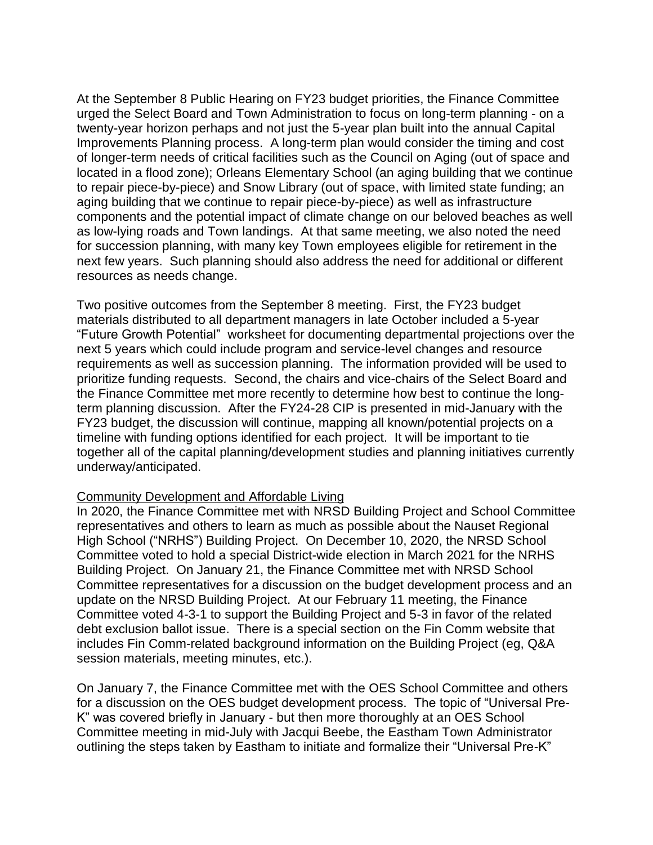At the September 8 Public Hearing on FY23 budget priorities, the Finance Committee urged the Select Board and Town Administration to focus on long-term planning - on a twenty-year horizon perhaps and not just the 5-year plan built into the annual Capital Improvements Planning process. A long-term plan would consider the timing and cost of longer-term needs of critical facilities such as the Council on Aging (out of space and located in a flood zone); Orleans Elementary School (an aging building that we continue to repair piece-by-piece) and Snow Library (out of space, with limited state funding; an aging building that we continue to repair piece-by-piece) as well as infrastructure components and the potential impact of climate change on our beloved beaches as well as low-lying roads and Town landings. At that same meeting, we also noted the need for succession planning, with many key Town employees eligible for retirement in the next few years. Such planning should also address the need for additional or different resources as needs change.

Two positive outcomes from the September 8 meeting. First, the FY23 budget materials distributed to all department managers in late October included a 5-year "Future Growth Potential" worksheet for documenting departmental projections over the next 5 years which could include program and service-level changes and resource requirements as well as succession planning. The information provided will be used to prioritize funding requests. Second, the chairs and vice-chairs of the Select Board and the Finance Committee met more recently to determine how best to continue the longterm planning discussion. After the FY24-28 CIP is presented in mid-January with the FY23 budget, the discussion will continue, mapping all known/potential projects on a timeline with funding options identified for each project. It will be important to tie together all of the capital planning/development studies and planning initiatives currently underway/anticipated.

## Community Development and Affordable Living

In 2020, the Finance Committee met with NRSD Building Project and School Committee representatives and others to learn as much as possible about the Nauset Regional High School ("NRHS") Building Project. On December 10, 2020, the NRSD School Committee voted to hold a special District-wide election in March 2021 for the NRHS Building Project. On January 21, the Finance Committee met with NRSD School Committee representatives for a discussion on the budget development process and an update on the NRSD Building Project. At our February 11 meeting, the Finance Committee voted 4-3-1 to support the Building Project and 5-3 in favor of the related debt exclusion ballot issue. There is a special section on the Fin Comm website that includes Fin Comm-related background information on the Building Project (eg, Q&A session materials, meeting minutes, etc.).

On January 7, the Finance Committee met with the OES School Committee and others for a discussion on the OES budget development process. The topic of "Universal Pre-K" was covered briefly in January - but then more thoroughly at an OES School Committee meeting in mid-July with Jacqui Beebe, the Eastham Town Administrator outlining the steps taken by Eastham to initiate and formalize their "Universal Pre-K"